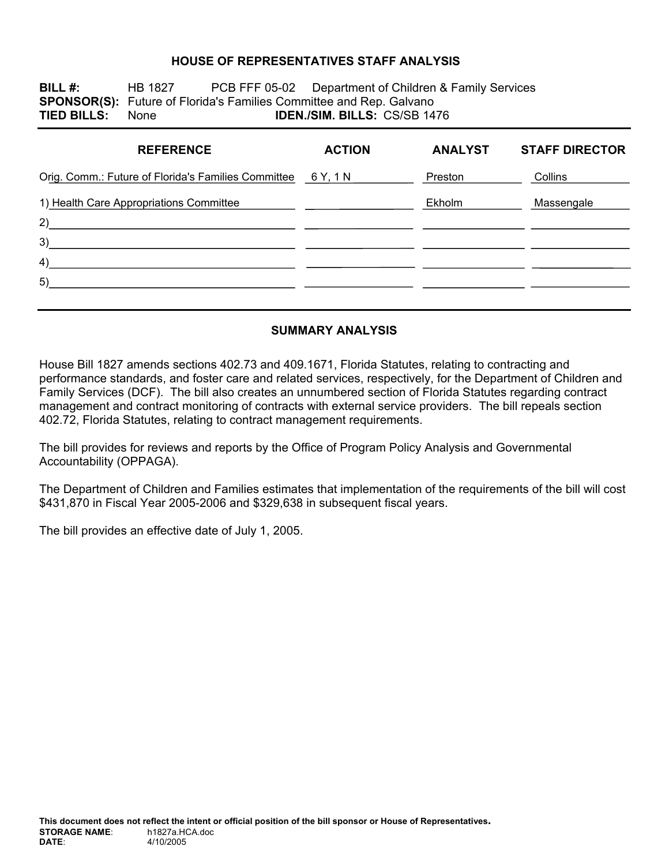### **HOUSE OF REPRESENTATIVES STAFF ANALYSIS**

**BILL #:** HB 1827 PCB FFF 05-02 Department of Children & Family Services **SPONSOR(S):** Future of Florida's Families Committee and Rep. Galvano **TIED BILLS:** None **IDEN./SIM. BILLS:** CS/SB 1476

| <b>REFERENCE</b>                                                                                                            | <b>ACTION</b>                                   | <b>ANALYST</b> | <b>STAFF DIRECTOR</b> |
|-----------------------------------------------------------------------------------------------------------------------------|-------------------------------------------------|----------------|-----------------------|
| Orig. Comm.: Future of Florida's Families Committee 6 Y, 1 N                                                                |                                                 | Preston        | Collins               |
| 1) Health Care Appropriations Committee                                                                                     | <u> 1980 - John Stein, amerikansk politiker</u> | Ekholm         | Massengale            |
| 2)<br><u> 1980 - Jan Sterling von Berling von Berling von Berling von Berling von Berling von Berling von Berling von B</u> |                                                 |                |                       |
| 3)<br><u> 1989 - John Stein, Amerikaansk politiker (</u>                                                                    |                                                 |                |                       |
| 4)                                                                                                                          |                                                 |                |                       |
| 5)                                                                                                                          |                                                 |                |                       |
|                                                                                                                             |                                                 |                |                       |

#### **SUMMARY ANALYSIS**

House Bill 1827 amends sections 402.73 and 409.1671, Florida Statutes, relating to contracting and performance standards, and foster care and related services, respectively, for the Department of Children and Family Services (DCF). The bill also creates an unnumbered section of Florida Statutes regarding contract management and contract monitoring of contracts with external service providers. The bill repeals section 402.72, Florida Statutes, relating to contract management requirements.

The bill provides for reviews and reports by the Office of Program Policy Analysis and Governmental Accountability (OPPAGA).

The Department of Children and Families estimates that implementation of the requirements of the bill will cost \$431,870 in Fiscal Year 2005-2006 and \$329,638 in subsequent fiscal years.

The bill provides an effective date of July 1, 2005.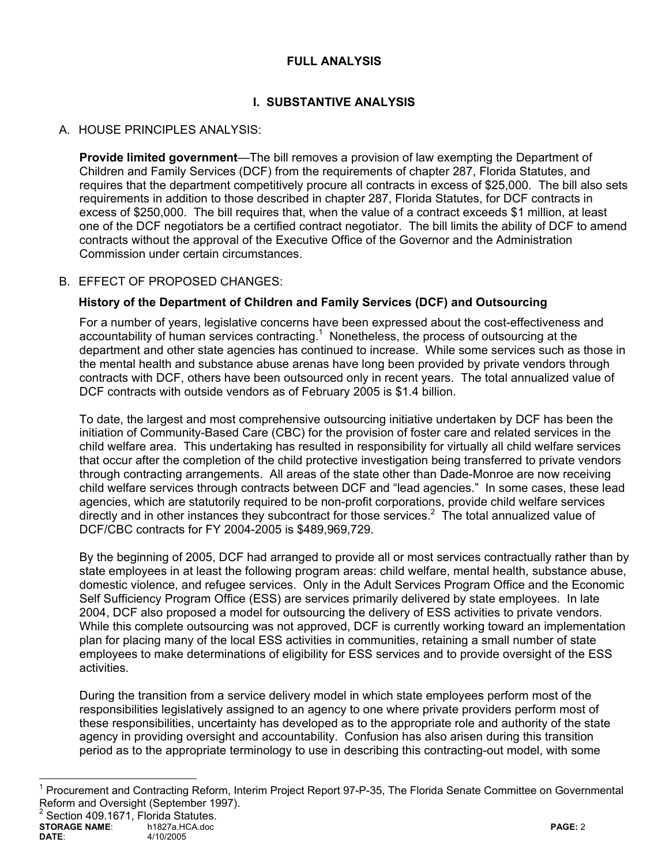### **FULL ANALYSIS**

# **I. SUBSTANTIVE ANALYSIS**

## A. HOUSE PRINCIPLES ANALYSIS:

**Provide limited government**—The bill removes a provision of law exempting the Department of Children and Family Services (DCF) from the requirements of chapter 287, Florida Statutes, and requires that the department competitively procure all contracts in excess of \$25,000. The bill also sets requirements in addition to those described in chapter 287, Florida Statutes, for DCF contracts in excess of \$250,000. The bill requires that, when the value of a contract exceeds \$1 million, at least one of the DCF negotiators be a certified contract negotiator. The bill limits the ability of DCF to amend contracts without the approval of the Executive Office of the Governor and the Administration Commission under certain circumstances.

### B. EFFECT OF PROPOSED CHANGES:

### **History of the Department of Children and Family Services (DCF) and Outsourcing**

For a number of years, legislative concerns have been expressed about the cost-effectiveness and accountability of human services contracting. $<sup>1</sup>$  Nonetheless, the process of outsourcing at the</sup> department and other state agencies has continued to increase. While some services such as those in the mental health and substance abuse arenas have long been provided by private vendors through contracts with DCF, others have been outsourced only in recent years. The total annualized value of DCF contracts with outside vendors as of February 2005 is \$1.4 billion.

To date, the largest and most comprehensive outsourcing initiative undertaken by DCF has been the initiation of Community-Based Care (CBC) for the provision of foster care and related services in the child welfare area. This undertaking has resulted in responsibility for virtually all child welfare services that occur after the completion of the child protective investigation being transferred to private vendors through contracting arrangements. All areas of the state other than Dade-Monroe are now receiving child welfare services through contracts between DCF and "lead agencies." In some cases, these lead agencies, which are statutorily required to be non-profit corporations, provide child welfare services directly and in other instances they subcontract for those services. $2$  The total annualized value of DCF/CBC contracts for FY 2004-2005 is \$489,969,729.

By the beginning of 2005, DCF had arranged to provide all or most services contractually rather than by state employees in at least the following program areas: child welfare, mental health, substance abuse, domestic violence, and refugee services. Only in the Adult Services Program Office and the Economic Self Sufficiency Program Office (ESS) are services primarily delivered by state employees. In late 2004, DCF also proposed a model for outsourcing the delivery of ESS activities to private vendors. While this complete outsourcing was not approved, DCF is currently working toward an implementation plan for placing many of the local ESS activities in communities, retaining a small number of state employees to make determinations of eligibility for ESS services and to provide oversight of the ESS activities.

During the transition from a service delivery model in which state employees perform most of the responsibilities legislatively assigned to an agency to one where private providers perform most of these responsibilities, uncertainty has developed as to the appropriate role and authority of the state agency in providing oversight and accountability. Confusion has also arisen during this transition period as to the appropriate terminology to use in describing this contracting-out model, with some

 $\overline{a}$ 

<sup>&</sup>lt;sup>1</sup> Procurement and Contracting Reform, Interim Project Report 97-P-35, The Florida Senate Committee on Governmental Reform and Oversight (September 1997).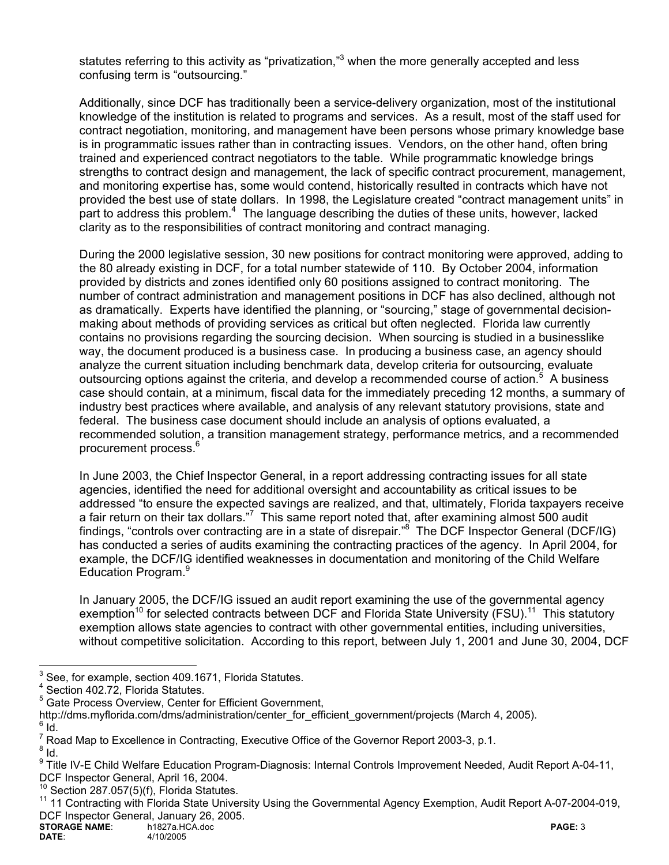statutes referring to this activity as "privatization,"<sup>3</sup> when the more generally accepted and less confusing term is "outsourcing."

Additionally, since DCF has traditionally been a service-delivery organization, most of the institutional knowledge of the institution is related to programs and services. As a result, most of the staff used for contract negotiation, monitoring, and management have been persons whose primary knowledge base is in programmatic issues rather than in contracting issues. Vendors, on the other hand, often bring trained and experienced contract negotiators to the table. While programmatic knowledge brings strengths to contract design and management, the lack of specific contract procurement, management, and monitoring expertise has, some would contend, historically resulted in contracts which have not provided the best use of state dollars. In 1998, the Legislature created "contract management units" in part to address this problem.<sup>4</sup> The language describing the duties of these units, however, lacked clarity as to the responsibilities of contract monitoring and contract managing.

During the 2000 legislative session, 30 new positions for contract monitoring were approved, adding to the 80 already existing in DCF, for a total number statewide of 110. By October 2004, information provided by districts and zones identified only 60 positions assigned to contract monitoring. The number of contract administration and management positions in DCF has also declined, although not as dramatically. Experts have identified the planning, or "sourcing," stage of governmental decisionmaking about methods of providing services as critical but often neglected. Florida law currently contains no provisions regarding the sourcing decision. When sourcing is studied in a businesslike way, the document produced is a business case. In producing a business case, an agency should analyze the current situation including benchmark data, develop criteria for outsourcing, evaluate outsourcing options against the criteria, and develop a recommended course of action.<sup>5</sup> A business case should contain, at a minimum, fiscal data for the immediately preceding 12 months, a summary of industry best practices where available, and analysis of any relevant statutory provisions, state and federal. The business case document should include an analysis of options evaluated, a recommended solution, a transition management strategy, performance metrics, and a recommended procurement process.6

In June 2003, the Chief Inspector General, in a report addressing contracting issues for all state agencies, identified the need for additional oversight and accountability as critical issues to be addressed "to ensure the expected savings are realized, and that, ultimately, Florida taxpayers receive a fair return on their tax dollars."<sup>7</sup> This same report noted that, after examining almost 500 audit findings, "controls over contracting are in a state of disrepair."<sup>8</sup> The DCF Inspector General (DCF/IG) has conducted a series of audits examining the contracting practices of the agency. In April 2004, for example, the DCF/IG identified weaknesses in documentation and monitoring of the Child Welfare Education Program.<sup>9</sup>

In January 2005, the DCF/IG issued an audit report examining the use of the governmental agency exemption<sup>10</sup> for selected contracts between DCF and Florida State University (FSU).<sup>11</sup> This statutory exemption allows state agencies to contract with other governmental entities, including universities, without competitive solicitation. According to this report, between July 1, 2001 and June 30, 2004, DCF

 $\frac{1}{3}$ See, for example, section 409.1671, Florida Statutes.

<sup>4</sup> Section 402.72, Florida Statutes.

<sup>&</sup>lt;sup>5</sup> Gate Process Overview, Center for Efficient Government,

http://dms.myflorida.com/dms/administration/center\_for\_efficient\_government/projects (March 4, 2005).

 $6$  Id.

 $^7$  Road Map to Excellence in Contracting, Executive Office of the Governor Report 2003-3, p.1.<br><sup>8</sup> Jd

 $8$  Id.

<sup>&</sup>lt;sup>9</sup> Title IV-E Child Welfare Education Program-Diagnosis: Internal Controls Improvement Needed, Audit Report A-04-11, DCF Inspector General, April 16, 2004.

 $\frac{10}{10}$  Section 287.057(5)(f), Florida Statutes.

<sup>11 11</sup> Contracting with Florida State University Using the Governmental Agency Exemption, Audit Report A-07-2004-019, DCF Inspector General, January 26, 2005.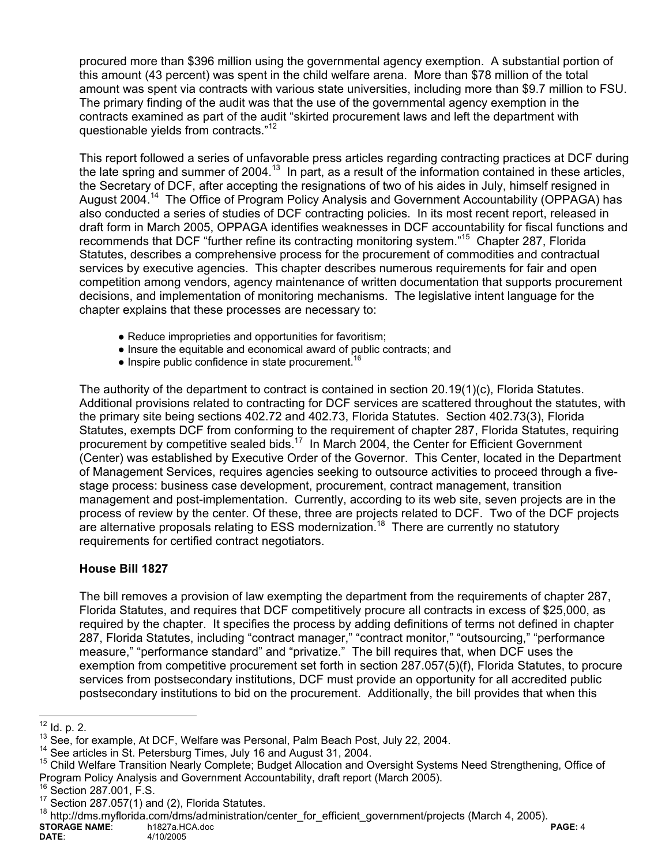procured more than \$396 million using the governmental agency exemption. A substantial portion of this amount (43 percent) was spent in the child welfare arena. More than \$78 million of the total amount was spent via contracts with various state universities, including more than \$9.7 million to FSU. The primary finding of the audit was that the use of the governmental agency exemption in the contracts examined as part of the audit "skirted procurement laws and left the department with questionable yields from contracts."<sup>12</sup>

This report followed a series of unfavorable press articles regarding contracting practices at DCF during the late spring and summer of 2004.<sup>13</sup> In part, as a result of the information contained in these articles, the Secretary of DCF, after accepting the resignations of two of his aides in July, himself resigned in August 2004.14 The Office of Program Policy Analysis and Government Accountability (OPPAGA) has also conducted a series of studies of DCF contracting policies. In its most recent report, released in draft form in March 2005, OPPAGA identifies weaknesses in DCF accountability for fiscal functions and recommends that DCF "further refine its contracting monitoring system."15 Chapter 287, Florida Statutes, describes a comprehensive process for the procurement of commodities and contractual services by executive agencies. This chapter describes numerous requirements for fair and open competition among vendors, agency maintenance of written documentation that supports procurement decisions, and implementation of monitoring mechanisms. The legislative intent language for the chapter explains that these processes are necessary to:

- Reduce improprieties and opportunities for favoritism;
- Insure the equitable and economical award of public contracts; and
- $\bullet$  Inspire public confidence in state procurement.<sup>16</sup>

The authority of the department to contract is contained in section 20.19(1)(c), Florida Statutes. Additional provisions related to contracting for DCF services are scattered throughout the statutes, with the primary site being sections 402.72 and 402.73, Florida Statutes. Section 402.73(3), Florida Statutes, exempts DCF from conforming to the requirement of chapter 287, Florida Statutes, requiring procurement by competitive sealed bids.<sup>17</sup> In March 2004, the Center for Efficient Government (Center) was established by Executive Order of the Governor. This Center, located in the Department of Management Services, requires agencies seeking to outsource activities to proceed through a fivestage process: business case development, procurement, contract management, transition management and post-implementation. Currently, according to its web site, seven projects are in the process of review by the center. Of these, three are projects related to DCF. Two of the DCF projects are alternative proposals relating to ESS modernization.<sup>18</sup> There are currently no statutory requirements for certified contract negotiators.

## **House Bill 1827**

The bill removes a provision of law exempting the department from the requirements of chapter 287, Florida Statutes, and requires that DCF competitively procure all contracts in excess of \$25,000, as required by the chapter. It specifies the process by adding definitions of terms not defined in chapter 287, Florida Statutes, including "contract manager," "contract monitor," "outsourcing," "performance measure," "performance standard" and "privatize." The bill requires that, when DCF uses the exemption from competitive procurement set forth in section 287.057(5)(f), Florida Statutes, to procure services from postsecondary institutions, DCF must provide an opportunity for all accredited public postsecondary institutions to bid on the procurement. Additionally, the bill provides that when this

**STORAGE NAME:** h1827a.HCA.doc **PAGE: 4**<br>DATE: 4/10/2005 4/10/2005 <sup>18</sup> http://dms.myflorida.com/dms/administration/center\_for\_efficient\_government/projects (March 4, 2005).

 $12$  ld. p. 2.

<sup>&</sup>lt;sup>13</sup> See, for example, At DCF, Welfare was Personal, Palm Beach Post, July 22, 2004.<br><sup>14</sup> See articles in St. Petersburg Times, July 16 and August 31, 2004.<br><sup>15</sup> Child Welfare Transition Nearly Complete; Budget Allocation Program Policy Analysis and Government Accountability, draft report (March 2005).<br><sup>16</sup> Section 287.001, F.S.<br><sup>17</sup> Section 287.057(1) and (2), Florida Statutes.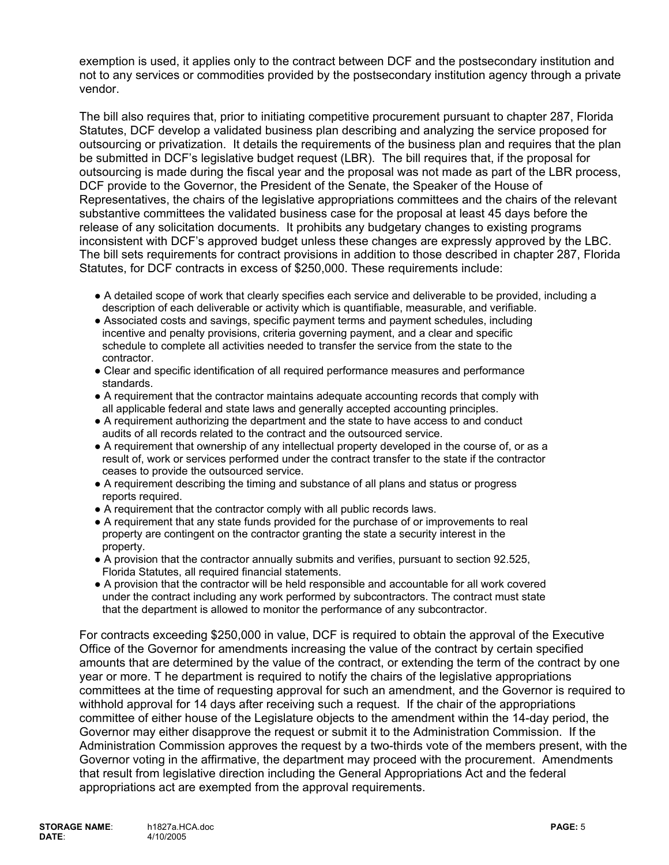exemption is used, it applies only to the contract between DCF and the postsecondary institution and not to any services or commodities provided by the postsecondary institution agency through a private vendor.

The bill also requires that, prior to initiating competitive procurement pursuant to chapter 287, Florida Statutes, DCF develop a validated business plan describing and analyzing the service proposed for outsourcing or privatization. It details the requirements of the business plan and requires that the plan be submitted in DCF's legislative budget request (LBR). The bill requires that, if the proposal for outsourcing is made during the fiscal year and the proposal was not made as part of the LBR process, DCF provide to the Governor, the President of the Senate, the Speaker of the House of Representatives, the chairs of the legislative appropriations committees and the chairs of the relevant substantive committees the validated business case for the proposal at least 45 days before the release of any solicitation documents. It prohibits any budgetary changes to existing programs inconsistent with DCF's approved budget unless these changes are expressly approved by the LBC. The bill sets requirements for contract provisions in addition to those described in chapter 287, Florida Statutes, for DCF contracts in excess of \$250,000. These requirements include:

- A detailed scope of work that clearly specifies each service and deliverable to be provided, including a description of each deliverable or activity which is quantifiable, measurable, and verifiable.
- Associated costs and savings, specific payment terms and payment schedules, including incentive and penalty provisions, criteria governing payment, and a clear and specific schedule to complete all activities needed to transfer the service from the state to the contractor.
- Clear and specific identification of all required performance measures and performance standards.
- A requirement that the contractor maintains adequate accounting records that comply with all applicable federal and state laws and generally accepted accounting principles.
- A requirement authorizing the department and the state to have access to and conduct audits of all records related to the contract and the outsourced service.
- A requirement that ownership of any intellectual property developed in the course of, or as a result of, work or services performed under the contract transfer to the state if the contractor ceases to provide the outsourced service.
- A requirement describing the timing and substance of all plans and status or progress reports required.
- A requirement that the contractor comply with all public records laws.
- A requirement that any state funds provided for the purchase of or improvements to real property are contingent on the contractor granting the state a security interest in the property.
- A provision that the contractor annually submits and verifies, pursuant to section 92.525, Florida Statutes, all required financial statements.
- A provision that the contractor will be held responsible and accountable for all work covered under the contract including any work performed by subcontractors. The contract must state that the department is allowed to monitor the performance of any subcontractor.

For contracts exceeding \$250,000 in value, DCF is required to obtain the approval of the Executive Office of the Governor for amendments increasing the value of the contract by certain specified amounts that are determined by the value of the contract, or extending the term of the contract by one year or more. T he department is required to notify the chairs of the legislative appropriations committees at the time of requesting approval for such an amendment, and the Governor is required to withhold approval for 14 days after receiving such a request. If the chair of the appropriations committee of either house of the Legislature objects to the amendment within the 14-day period, the Governor may either disapprove the request or submit it to the Administration Commission. If the Administration Commission approves the request by a two-thirds vote of the members present, with the Governor voting in the affirmative, the department may proceed with the procurement. Amendments that result from legislative direction including the General Appropriations Act and the federal appropriations act are exempted from the approval requirements.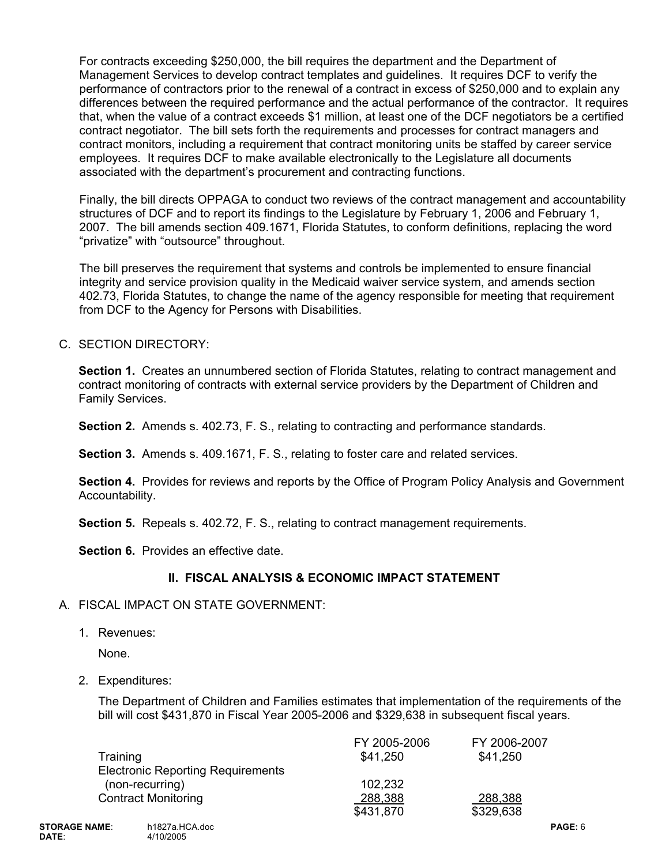For contracts exceeding \$250,000, the bill requires the department and the Department of Management Services to develop contract templates and guidelines. It requires DCF to verify the performance of contractors prior to the renewal of a contract in excess of \$250,000 and to explain any differences between the required performance and the actual performance of the contractor. It requires that, when the value of a contract exceeds \$1 million, at least one of the DCF negotiators be a certified contract negotiator. The bill sets forth the requirements and processes for contract managers and contract monitors, including a requirement that contract monitoring units be staffed by career service employees. It requires DCF to make available electronically to the Legislature all documents associated with the department's procurement and contracting functions.

Finally, the bill directs OPPAGA to conduct two reviews of the contract management and accountability structures of DCF and to report its findings to the Legislature by February 1, 2006 and February 1, 2007. The bill amends section 409.1671, Florida Statutes, to conform definitions, replacing the word "privatize" with "outsource" throughout.

The bill preserves the requirement that systems and controls be implemented to ensure financial integrity and service provision quality in the Medicaid waiver service system, and amends section 402.73, Florida Statutes, to change the name of the agency responsible for meeting that requirement from DCF to the Agency for Persons with Disabilities.

### C. SECTION DIRECTORY:

**Section 1.** Creates an unnumbered section of Florida Statutes, relating to contract management and contract monitoring of contracts with external service providers by the Department of Children and Family Services.

**Section 2.** Amends s. 402.73, F. S., relating to contracting and performance standards.

 **Section 3.** Amends s. 409.1671, F. S., relating to foster care and related services.

**Section 4.** Provides for reviews and reports by the Office of Program Policy Analysis and Government Accountability.

 **Section 5.** Repeals s. 402.72, F. S., relating to contract management requirements.

**Section 6.** Provides an effective date.

## **II. FISCAL ANALYSIS & ECONOMIC IMPACT STATEMENT**

### A. FISCAL IMPACT ON STATE GOVERNMENT:

1. Revenues:

None.

2. Expenditures:

The Department of Children and Families estimates that implementation of the requirements of the bill will cost \$431,870 in Fiscal Year 2005-2006 and \$329,638 in subsequent fiscal years.

|                                          | FY 2005-2006 | FY 2006-2007 |
|------------------------------------------|--------------|--------------|
| Training                                 | \$41,250     | \$41,250     |
| <b>Electronic Reporting Requirements</b> |              |              |
| (non-recurring)                          | 102,232      |              |
| <b>Contract Monitoring</b>               | 288,388      | 288,388      |
|                                          | \$431,870    | \$329,638    |
|                                          |              |              |